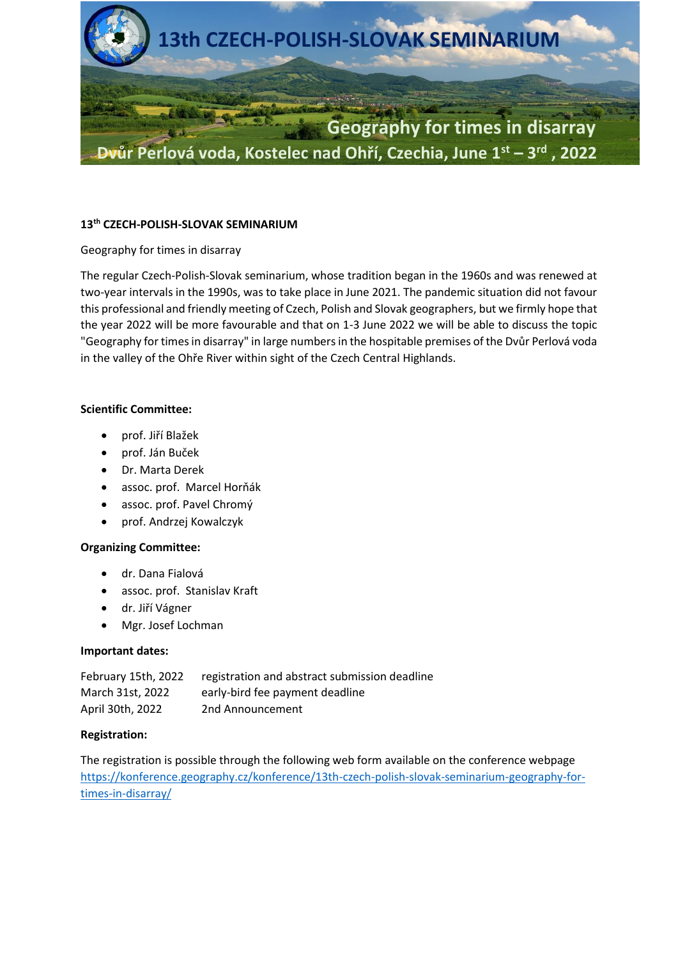

### **13th CZECH-POLISH-SLOVAK SEMINARIUM**

## Geography for times in disarray

The regular Czech-Polish-Slovak seminarium, whose tradition began in the 1960s and was renewed at two-year intervals in the 1990s, was to take place in June 2021. The pandemic situation did not favour this professional and friendly meeting of Czech, Polish and Slovak geographers, but we firmly hope that the year 2022 will be more favourable and that on 1-3 June 2022 we will be able to discuss the topic "Geography for times in disarray" in large numbers in the hospitable premises of the Dvůr Perlová voda in the valley of the Ohře River within sight of the Czech Central Highlands.

## **Scientific Committee:**

- prof. Jiří Blažek
- prof. Ján Buček
- Dr. Marta Derek
- assoc. prof. Marcel Horňák
- assoc. prof. Pavel Chromý
- prof. Andrzej Kowalczyk

#### **Organizing Committee:**

- dr. Dana Fialová
- assoc. prof. Stanislav Kraft
- dr. Jiří Vágner
- Mgr. Josef Lochman

#### **Important dates:**

| February 15th, 2022 | registration and abstract submission deadline |
|---------------------|-----------------------------------------------|
| March 31st, 2022    | early-bird fee payment deadline               |
| April 30th, 2022    | 2nd Announcement                              |

#### **Registration:**

The registration is possible through the following web form available on the conference webpage [https://konference.geography.cz/konference/13th-czech-polish-slovak-seminarium-geography-for](https://konference.geography.cz/konference/13th-czech-polish-slovak-seminarium-geography-for-times-in-disarray/)[times-in-disarray/](https://konference.geography.cz/konference/13th-czech-polish-slovak-seminarium-geography-for-times-in-disarray/)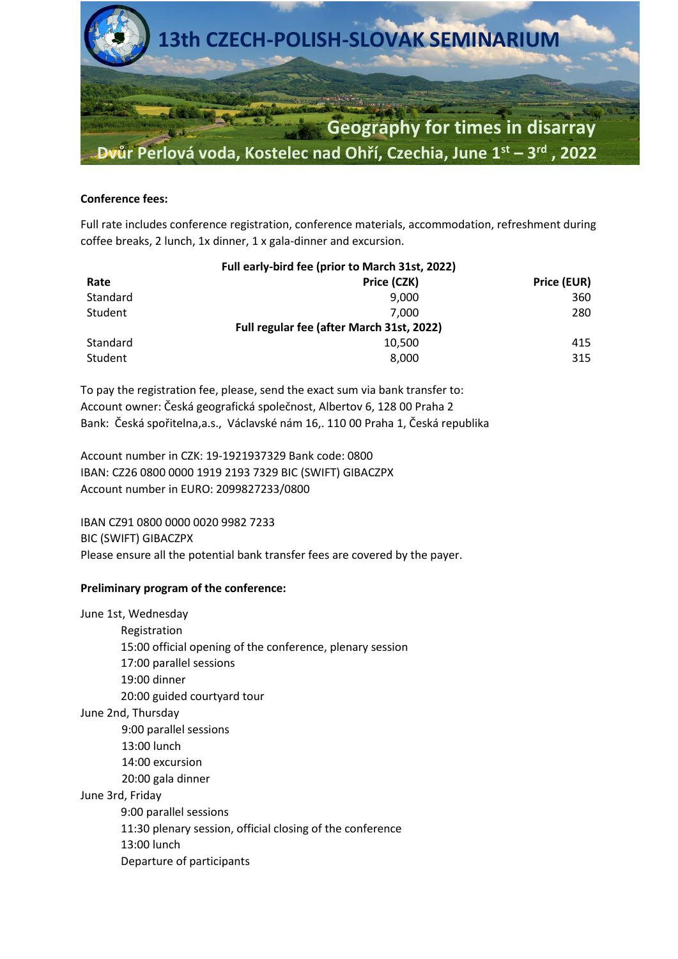

#### **Conference fees:**

Full rate includes conference registration, conference materials, accommodation, refreshment during coffee breaks, 2 lunch, 1x dinner, 1 x gala-dinner and excursion.

|          | Full early-bird fee (prior to March 31st, 2022) |             |
|----------|-------------------------------------------------|-------------|
| Rate     | Price (CZK)                                     | Price (EUR) |
| Standard | 9.000                                           | 360         |
| Student  | 7.000                                           | 280         |
|          | Full regular fee (after March 31st, 2022)       |             |
| Standard | 10,500                                          | 415         |
| Student  | 8.000                                           | 315         |

To pay the registration fee, please, send the exact sum via bank transfer to: Account owner: Česká geografická společnost, Albertov 6, 128 00 Praha 2 Bank: Česká spořitelna,a.s., Václavské nám 16,. 110 00 Praha 1, Česká republika

Account number in CZK: 19-1921937329 Bank code: 0800 IBAN: CZ26 0800 0000 1919 2193 7329 BIC (SWIFT) GIBACZPX Account number in EURO: 2099827233/0800

IBAN CZ91 0800 0000 0020 9982 7233 BIC (SWIFT) GIBACZPX Please ensure all the potential bank transfer fees are covered by the payer.

# **Preliminary program of the conference:**

June 1st, Wednesday Registration 15:00 official opening of the conference, plenary session 17:00 parallel sessions 19:00 dinner 20:00 guided courtyard tour June 2nd, Thursday 9:00 parallel sessions 13:00 lunch 14:00 excursion 20:00 gala dinner June 3rd, Friday 9:00 parallel sessions 11:30 plenary session, official closing of the conference 13:00 lunch Departure of participants